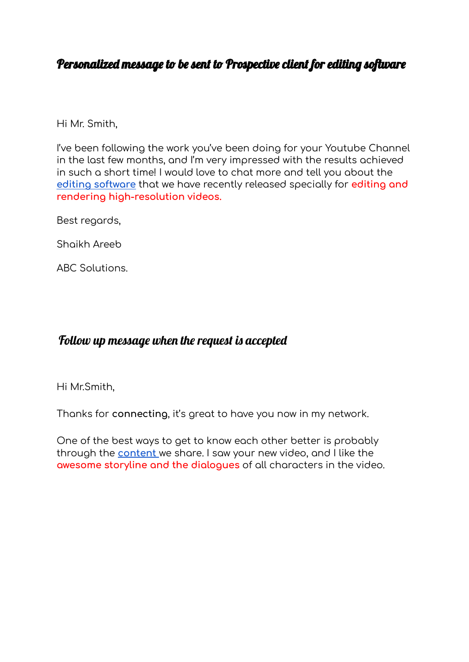## Personalized message to be sent to Prospective client for editing software

Hi Mr. Smith,

I've been following the work you've been doing for your Youtube Channel in the last few months, and I'm very impressed with the results achieved in such a short time! I would love to chat more and tell you about the **editing [software](https://www.google.com/search?q=software&rlz=1C1PNBB_enIN989IN989&oq=software&aqs=chrome..69i57j0i433i512l2j0i512l2j0i433i512l2j0i512j0i433i512j0i433i457i512.2538j0j7&sourceid=chrome&ie=UTF-8)** that we have recently released specially for **editing and rendering high-resolution videos.**

Best regards,

Shaikh Areeb

ABC Solutions.

## Follow up message when the request is accepted

Hi Mr.Smith,

Thanks for **connecting**, it's great to have you now in my network.

One of the best ways to get to know each other better is probably through the **[content](https://www.google.com/search?q=software&rlz=1C1PNBB_enIN989IN989&oq=software&aqs=chrome..69i57j0i433i512l2j0i512l2j0i433i512l2j0i512j0i433i512j0i433i457i512.2538j0j7&sourceid=chrome&ie=UTF-8)** we share. I saw your new video, and I like the **awesome storyline and the dialogues** of all characters in the video.